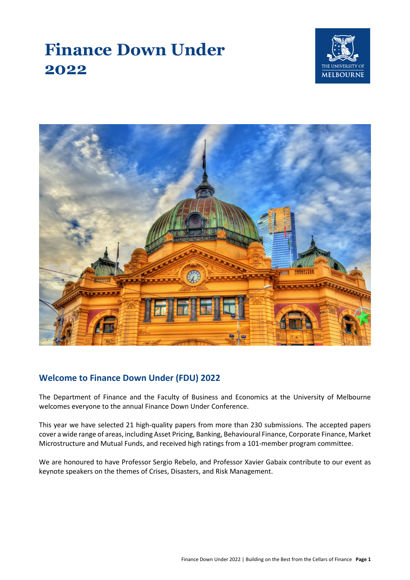# **Finance Down Under 2022**





# **Welcome to Finance Down Under (FDU) 2022**

The Department of Finance and the Faculty of Business and Economics at the University of Melbourne welcomes everyone to the annual Finance Down Under Conference.

This year we have selected 21 high-quality papers from more than 230 submissions. The accepted papers cover a wide range of areas, including Asset Pricing, Banking, Behavioural Finance, Corporate Finance, Market Microstructure and Mutual Funds, and received high ratings from a 101-member program committee.

We are honoured to have Professor Sergio Rebelo, and Professor Xavier Gabaix contribute to our event as keynote speakers on the themes of Crises, Disasters, and Risk Management.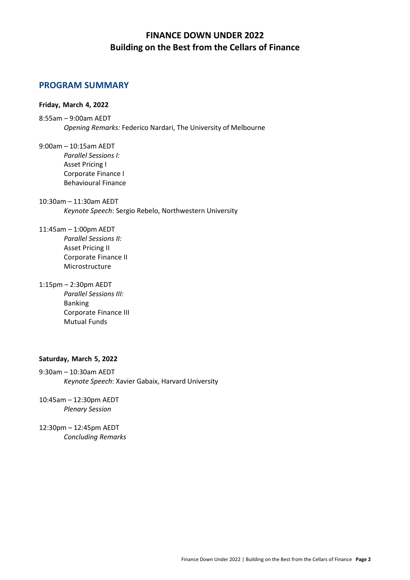# **FINANCE DOWN UNDER 2022 Building on the Best from the Cellars of Finance**

# **PROGRAM SUMMARY**

#### **Friday, March 4, 2022**

- 8:55am 9:00am AEDT *Opening Remarks:* Federico Nardari, The University of Melbourne
- 9:00am 10:15am AEDT *Parallel Sessions I:* Asset Pricing I Corporate Finance I Behavioural Finance

10:30am – 11:30am AEDT *Keynote Speech*: Sergio Rebelo, Northwestern University

11:45am – 1:00pm AEDT *Parallel Sessions II:* Asset Pricing II Corporate Finance II Microstructure

1:15pm – 2:30pm AEDT *Parallel Sessions III:* Banking Corporate Finance III Mutual Funds

#### **Saturday, March 5, 2022**

9:30am – 10:30am AEDT *Keynote Speech*: Xavier Gabaix, Harvard University

10:45am – 12:30pm AEDT *Plenary Session* 

12:30pm – 12:45pm AEDT *Concluding Remarks*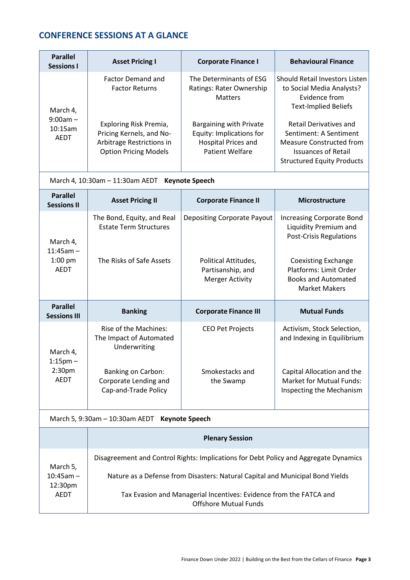# **CONFERENCE SESSIONS AT A GLANCE**

| <b>Parallel</b><br><b>Sessions I</b>             | <b>Asset Pricing I</b>                                                                                                                                               | <b>Corporate Finance I</b>                                                                                                                                                    | <b>Behavioural Finance</b>                                                                                                                                                                                                                                            |
|--------------------------------------------------|----------------------------------------------------------------------------------------------------------------------------------------------------------------------|-------------------------------------------------------------------------------------------------------------------------------------------------------------------------------|-----------------------------------------------------------------------------------------------------------------------------------------------------------------------------------------------------------------------------------------------------------------------|
| March 4,<br>$9:00am -$<br>10:15am<br><b>AEDT</b> | <b>Factor Demand and</b><br><b>Factor Returns</b><br>Exploring Risk Premia,<br>Pricing Kernels, and No-<br>Arbitrage Restrictions in<br><b>Option Pricing Models</b> | The Determinants of ESG<br>Ratings: Rater Ownership<br><b>Matters</b><br>Bargaining with Private<br>Equity: Implications for<br><b>Hospital Prices and</b><br>Patient Welfare | Should Retail Investors Listen<br>to Social Media Analysts?<br>Evidence from<br><b>Text-Implied Beliefs</b><br><b>Retail Derivatives and</b><br>Sentiment: A Sentiment<br>Measure Constructed from<br><b>Issuances of Retail</b><br><b>Structured Equity Products</b> |

March 4, 10:30am – 11:30am AEDT **Keynote Speech**

| <b>Parallel</b><br><b>Sessions II</b>               | <b>Asset Pricing II</b>                                          | <b>Corporate Finance II</b>                                         | <b>Microstructure</b>                                                                                      |
|-----------------------------------------------------|------------------------------------------------------------------|---------------------------------------------------------------------|------------------------------------------------------------------------------------------------------------|
| March 4,<br>$11:45am -$<br>$1:00$ pm<br><b>AEDT</b> | The Bond, Equity, and Real<br><b>Estate Term Structures</b>      | Depositing Corporate Payout                                         | <b>Increasing Corporate Bond</b><br>Liquidity Premium and<br><b>Post-Crisis Regulations</b>                |
|                                                     | The Risks of Safe Assets                                         | Political Attitudes,<br>Partisanship, and<br><b>Merger Activity</b> | <b>Coexisting Exchange</b><br>Platforms: Limit Order<br><b>Books and Automated</b><br><b>Market Makers</b> |
| <b>Parallel</b><br><b>Sessions III</b>              | <b>Banking</b>                                                   | <b>Corporate Finance III</b>                                        | <b>Mutual Funds</b>                                                                                        |
| March 4,                                            | Rise of the Machines:<br>The Impact of Automated<br>Underwriting | <b>CEO Pet Projects</b>                                             | Activism, Stock Selection,<br>and Indexing in Equilibrium                                                  |
| $1:15$ pm $-$                                       |                                                                  |                                                                     |                                                                                                            |

# March 5, 9:30am – 10:30am AEDT **Keynote Speech**

|                                               | <b>Plenary Session</b>                                                                             |  |
|-----------------------------------------------|----------------------------------------------------------------------------------------------------|--|
|                                               |                                                                                                    |  |
| March 5,<br>$10:45$ am $-$<br>12:30pm<br>AEDT | Disagreement and Control Rights: Implications for Debt Policy and Aggregate Dynamics               |  |
|                                               | Nature as a Defense from Disasters: Natural Capital and Municipal Bond Yields                      |  |
|                                               | Tax Evasion and Managerial Incentives: Evidence from the FATCA and<br><b>Offshore Mutual Funds</b> |  |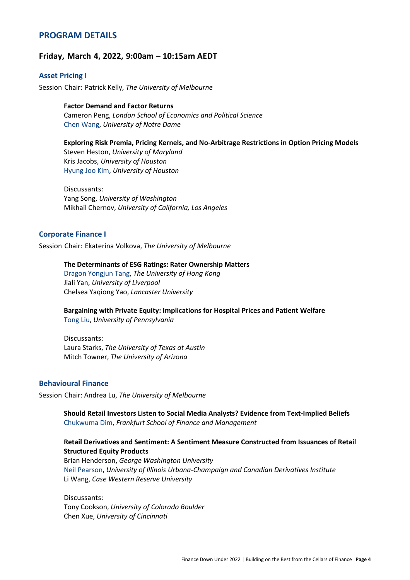# **PROGRAM DETAILS**

#### **Friday, March 4, 2022, 9:00am – 10:15am AEDT**

#### **Asset Pricing I**

Session Chair: Patrick Kelly, *The University of Melbourne*

**Factor Demand and Factor Returns** Cameron Peng, *London School of Economics and Political Science* Chen Wang, *University of Notre Dame*

#### **Exploring Risk Premia, Pricing Kernels, and No-Arbitrage Restrictions in Option Pricing Models**

Steven Heston, *University of Maryland* Kris Jacobs, *University of Houston* Hyung Joo Kim, *University of Houston*

Discussants: Yang Song, *University of Washington* Mikhail Chernov, *University of California, Los Angeles*

#### **Corporate Finance I**

Session Chair: Ekaterina Volkova, *The University of Melbourne*

#### **The Determinants of ESG Ratings: Rater Ownership Matters**

Dragon Yongjun Tang, *The University of Hong Kong* Jiali Yan, *University of Liverpool* Chelsea Yaqiong Yao, *Lancaster University*

#### **Bargaining with Private Equity: Implications for Hospital Prices and Patient Welfare** Tong Liu, *University of Pennsylvania*

Discussants: Laura Starks, *The University of Texas at Austin* Mitch Towner, *The University of Arizona*

#### **Behavioural Finance**

Session Chair: Andrea Lu, *The University of Melbourne*

**Should Retail Investors Listen to Social Media Analysts? Evidence from Text-Implied Beliefs** Chukwuma Dim, *Frankfurt School of Finance and Management*

#### **Retail Derivatives and Sentiment: A Sentiment Measure Constructed from Issuances of Retail Structured Equity Products**

Brian Henderson**,** *George Washington University* Neil Pearson, *University of Illinois Urbana-Champaign and Canadian Derivatives Institute* Li Wang, *Case Western Reserve University*

Discussants: Tony Cookson, *University of Colorado Boulder* Chen Xue, *University of Cincinnati*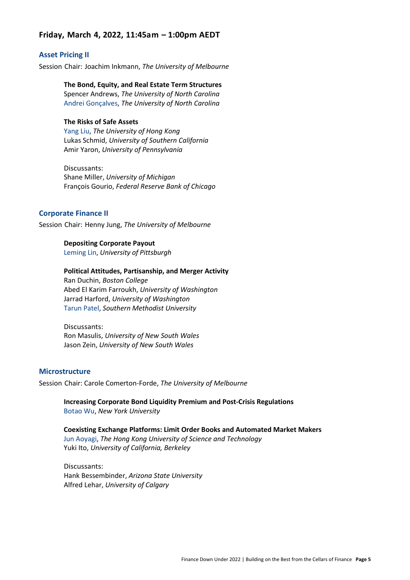### **Friday, March 4, 2022, 11:45am – 1:00pm AEDT**

#### **Asset Pricing II**

Session Chair: Joachim Inkmann, *The University of Melbourne*

**The Bond, Equity, and Real Estate Term Structures** Spencer Andrews, *The University of North Carolina* Andrei Gonçalves, *The University of North Carolina*

#### **The Risks of Safe Assets**

Yang Liu, *The University of Hong Kong* Lukas Schmid, *University of Southern California* Amir Yaron, *University of Pennsylvania*

Discussants: Shane Miller, *University of Michigan* François Gourio, *Federal Reserve Bank of Chicago*

#### **Corporate Finance II**

Session Chair: Henny Jung, *The University of Melbourne*

#### **Depositing Corporate Payout**

Leming Lin, *University of Pittsburgh*

#### **Political Attitudes, Partisanship, and Merger Activity**

Ran Duchin, *Boston College* Abed El Karim Farroukh, *University of Washington* Jarrad Harford, *University of Washington* Tarun Patel, *Southern Methodist University*

Discussants: Ron Masulis, *University of New South Wales* Jason Zein, *University of New South Wales*

#### **Microstructure**

Session Chair: Carole Comerton-Forde, *The University of Melbourne*

**Increasing Corporate Bond Liquidity Premium and Post-Crisis Regulations**  Botao Wu, *New York University*

**Coexisting Exchange Platforms: Limit Order Books and Automated Market Makers**  Jun Aoyagi, *The Hong Kong University of Science and Technology* Yuki Ito, *University of California, Berkeley*

Discussants: Hank Bessembinder, *Arizona State University* Alfred Lehar, *University of Calgary*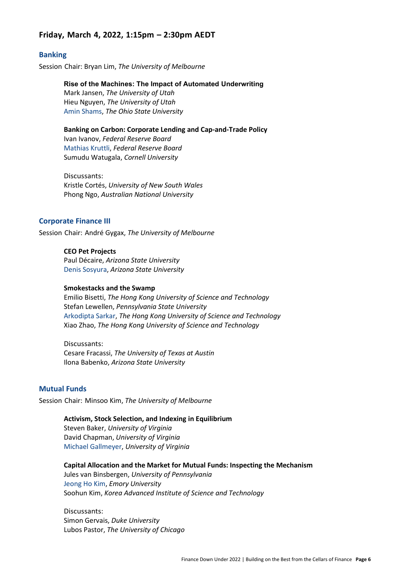# **Friday, March 4, 2022, 1:15pm – 2:30pm AEDT**

#### **Banking**

Session Chair: Bryan Lim, *The University of Melbourne*

**Rise of the Machines: The Impact of Automated Underwriting**

Mark Jansen, *The University of Utah* Hieu Nguyen, *The University of Utah* Amin Shams, *The Ohio State University*

**Banking on Carbon: Corporate Lending and Cap-and-Trade Policy**

Ivan Ivanov, *Federal Reserve Board* Mathias Kruttli, *Federal Reserve Board* Sumudu Watugala, *Cornell University*

Discussants: Kristle Cortés, *University of New South Wales* Phong Ngo, *Australian National University*

#### **Corporate Finance III**

Session Chair: André Gygax, *The University of Melbourne*

**CEO Pet Projects**  Paul Décaire, *Arizona State University* Denis Sosyura, *Arizona State University*

#### **Smokestacks and the Swamp**

Emilio Bisetti, *The Hong Kong University of Science and Technology* Stefan Lewellen, *Pennsylvania State University* Arkodipta Sarkar, *The Hong Kong University of Science and Technology* Xiao Zhao, *The Hong Kong University of Science and Technology*

Discussants: Cesare Fracassi, *The University of Texas at Austin* Ilona Babenko, *Arizona State University*

#### **Mutual Funds**

Session Chair: Minsoo Kim, *The University of Melbourne*

**Activism, Stock Selection, and Indexing in Equilibrium**

Steven Baker, *University of Virginia* David Chapman, *University of Virginia* Michael Gallmeyer, *University of Virginia*

**Capital Allocation and the Market for Mutual Funds: Inspecting the Mechanism**

Jules van Binsbergen, *University of Pennsylvania* Jeong Ho Kim, *Emory University* Soohun Kim, *Korea Advanced Institute of Science and Technology*

Discussants: Simon Gervais, *Duke University* Lubos Pastor, *The University of Chicago*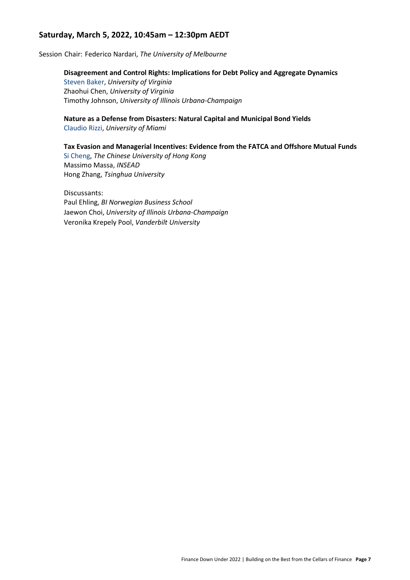# **Saturday, March 5, 2022, 10:45am – 12:30pm AEDT**

Session Chair: Federico Nardari, *The University of Melbourne*

#### **Disagreement and Control Rights: Implications for Debt Policy and Aggregate Dynamics**

Steven Baker, *University of Virginia* Zhaohui Chen, *University of Virginia* Timothy Johnson, *University of Illinois Urbana-Champaign*

#### **Nature as a Defense from Disasters: Natural Capital and Municipal Bond Yields**

Claudio Rizzi, *University of Miami*

#### **Tax Evasion and Managerial Incentives: Evidence from the FATCA and Offshore Mutual Funds**

Si Cheng, *The Chinese University of Hong Kong* Massimo Massa, *INSEAD* Hong Zhang, *Tsinghua University*

Discussants: Paul Ehling, *BI Norwegian Business School* Jaewon Choi, *University of Illinois Urbana-Champaign* Veronika Krepely Pool, *Vanderbilt University*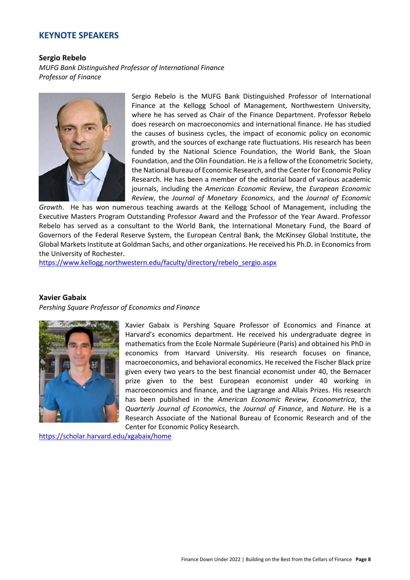#### **KEYNOTE SPEAKERS**

#### **Sergio Rebelo**

*MUFG Bank Distinguished Professor of International Finance Professor of Finance*



Sergio Rebelo is the MUFG Bank Distinguished Professor of International Finance at the Kellogg School of Management, Northwestern University, where he has served as Chair of the Finance Department. Professor Rebelo does research on macroeconomics and international finance. He has studied the causes of business cycles, the impact of economic policy on economic growth, and the sources of exchange rate fluctuations. His research has been funded by the National Science Foundation, the World Bank, the Sloan Foundation, and the Olin Foundation. He is a fellow of the Econometric Society, the National Bureau of Economic Research, and the Center for Economic Policy Research. He has been a member of the editorial board of various academic journals, including the *American Economic Review*, the *European Economic Review*, the *Journal of Monetary Economics*, and the *Journal of Economic* 

*Growth*. He has won numerous teaching awards at the Kellogg School of Management, including the Executive Masters Program Outstanding Professor Award and the Professor of the Year Award. Professor Rebelo has served as a consultant to the World Bank, the International Monetary Fund, the Board of Governors of the Federal Reserve System, the European Central Bank, the McKinsey Global Institute, the Global Markets Institute at Goldman Sachs, and other organizations. He received his Ph.D. in Economics from the University of Rochester.

[https://www.kellogg.northwestern.edu/faculty/directory/rebelo\\_sergio.aspx](https://www.kellogg.northwestern.edu/faculty/directory/rebelo_sergio.aspx)

#### **Xavier Gabaix**

*Pershing Square Professor of Economics and Finance*



Xavier Gabaix is Pershing Square Professor of Economics and Finance at Harvard's economics department. He received his undergraduate degree in mathematics from the Ecole Normale Supérieure (Paris) and obtained his PhD in economics from Harvard University. His research focuses on finance, macroeconomics, and behavioral economics. He received the Fischer Black prize given every two years to the best financial economist under 40, the Bernacer prize given to the best European economist under 40 working in macroeconomics and finance, and the Lagrange and Allais Prizes. His research has been published in the *American Economic Review*, *Econometrica*, the *Quarterly Journal of Economics*, the *Journal of Finance*, and *Nature*. He is a Research Associate of the National Bureau of Economic Research and of the Center for Economic Policy Research.

<https://scholar.harvard.edu/xgabaix/home>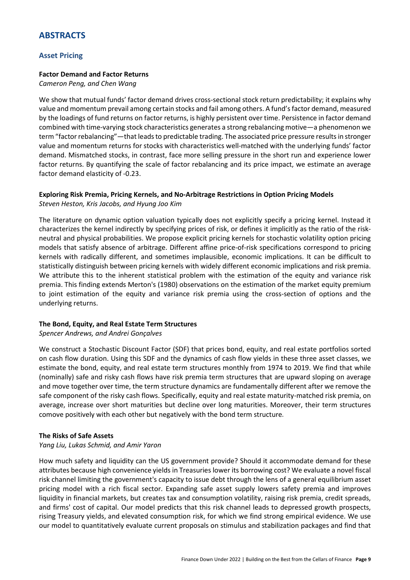# **ABSTRACTS**

#### **Asset Pricing**

#### **Factor Demand and Factor Returns**

*Cameron Peng, and Chen Wang*

We show that mutual funds' factor demand drives cross-sectional stock return predictability; it explains why value and momentum prevail among certain stocks and fail among others. A fund's factor demand, measured by the loadings of fund returns on factor returns, is highly persistent over time. Persistence in factor demand combined with time-varying stock characteristics generates a strong rebalancing motive—a phenomenon we term "factor rebalancing"—that leads to predictable trading. The associated price pressure results in stronger value and momentum returns for stocks with characteristics well-matched with the underlying funds' factor demand. Mismatched stocks, in contrast, face more selling pressure in the short run and experience lower factor returns. By quantifying the scale of factor rebalancing and its price impact, we estimate an average factor demand elasticity of -0.23.

#### **Exploring Risk Premia, Pricing Kernels, and No-Arbitrage Restrictions in Option Pricing Models** *Steven Heston, Kris Jacobs, and Hyung Joo Kim*

The literature on dynamic option valuation typically does not explicitly specify a pricing kernel. Instead it characterizes the kernel indirectly by specifying prices of risk, or defines it implicitly as the ratio of the riskneutral and physical probabilities. We propose explicit pricing kernels for stochastic volatility option pricing models that satisfy absence of arbitrage. Different affine price-of-risk specifications correspond to pricing kernels with radically different, and sometimes implausible, economic implications. It can be difficult to statistically distinguish between pricing kernels with widely different economic implications and risk premia. We attribute this to the inherent statistical problem with the estimation of the equity and variance risk premia. This finding extends Merton's (1980) observations on the estimation of the market equity premium to joint estimation of the equity and variance risk premia using the cross-section of options and the underlying returns.

#### **The Bond, Equity, and Real Estate Term Structures**

*Spencer Andrews, and Andrei Gonçalves*

We construct a Stochastic Discount Factor (SDF) that prices bond, equity, and real estate portfolios sorted on cash flow duration. Using this SDF and the dynamics of cash flow yields in these three asset classes, we estimate the bond, equity, and real estate term structures monthly from 1974 to 2019. We find that while (nominally) safe and risky cash flows have risk premia term structures that are upward sloping on average and move together over time, the term structure dynamics are fundamentally different after we remove the safe component of the risky cash flows. Specifically, equity and real estate maturity-matched risk premia, on average, increase over short maturities but decline over long maturities. Moreover, their term structures comove positively with each other but negatively with the bond term structure.

#### **The Risks of Safe Assets**

#### *Yang Liu, Lukas Schmid, and Amir Yaron*

How much safety and liquidity can the US government provide? Should it accommodate demand for these attributes because high convenience yields in Treasuries lower its borrowing cost? We evaluate a novel fiscal risk channel limiting the government's capacity to issue debt through the lens of a general equilibrium asset pricing model with a rich fiscal sector. Expanding safe asset supply lowers safety premia and improves liquidity in financial markets, but creates tax and consumption volatility, raising risk premia, credit spreads, and firms' cost of capital. Our model predicts that this risk channel leads to depressed growth prospects, rising Treasury yields, and elevated consumption risk, for which we find strong empirical evidence. We use our model to quantitatively evaluate current proposals on stimulus and stabilization packages and find that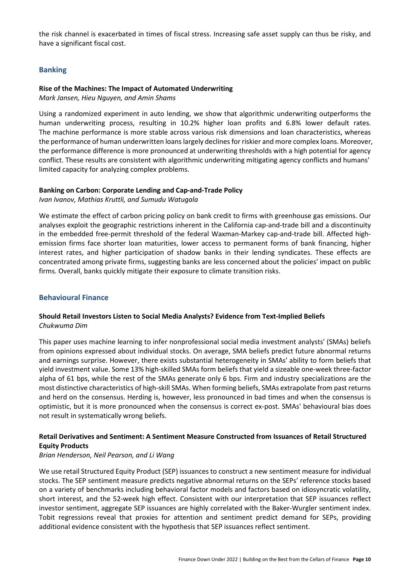the risk channel is exacerbated in times of fiscal stress. Increasing safe asset supply can thus be risky, and have a significant fiscal cost.

#### **Banking**

#### **Rise of the Machines: The Impact of Automated Underwriting**

*Mark Jansen, Hieu Nguyen, and Amin Shams*

Using a randomized experiment in auto lending, we show that algorithmic underwriting outperforms the human underwriting process, resulting in 10.2% higher loan profits and 6.8% lower default rates. The machine performance is more stable across various risk dimensions and loan characteristics, whereas the performance of human underwritten loans largely declines for riskier and more complex loans. Moreover, the performance difference is more pronounced at underwriting thresholds with a high potential for agency conflict. These results are consistent with algorithmic underwriting mitigating agency conflicts and humans' limited capacity for analyzing complex problems.

#### **Banking on Carbon: Corporate Lending and Cap-and-Trade Policy**

*Ivan Ivanov, Mathias Kruttli, and Sumudu Watugala*

We estimate the effect of carbon pricing policy on bank credit to firms with greenhouse gas emissions. Our analyses exploit the geographic restrictions inherent in the California cap-and-trade bill and a discontinuity in the embedded free-permit threshold of the federal Waxman-Markey cap-and-trade bill. Affected highemission firms face shorter loan maturities, lower access to permanent forms of bank financing, higher interest rates, and higher participation of shadow banks in their lending syndicates. These effects are concentrated among private firms, suggesting banks are less concerned about the policies' impact on public firms. Overall, banks quickly mitigate their exposure to climate transition risks.

#### **Behavioural Finance**

#### **Should Retail Investors Listen to Social Media Analysts? Evidence from Text-Implied Beliefs** *Chukwuma Dim*

This paper uses machine learning to infer nonprofessional social media investment analysts' (SMAs) beliefs from opinions expressed about individual stocks. On average, SMA beliefs predict future abnormal returns and earnings surprise. However, there exists substantial heterogeneity in SMAs' ability to form beliefs that yield investment value. Some 13% high-skilled SMAs form beliefs that yield a sizeable one-week three-factor alpha of 61 bps, while the rest of the SMAs generate only 6 bps. Firm and industry specializations are the most distinctive characteristics of high-skill SMAs. When forming beliefs, SMAs extrapolate from past returns and herd on the consensus. Herding is, however, less pronounced in bad times and when the consensus is optimistic, but it is more pronounced when the consensus is correct ex-post. SMAs' behavioural bias does not result in systematically wrong beliefs.

#### **Retail Derivatives and Sentiment: A Sentiment Measure Constructed from Issuances of Retail Structured Equity Products**

#### *Brian Henderson, Neil Pearson, and Li Wang*

We use retail Structured Equity Product (SEP) issuances to construct a new sentiment measure for individual stocks. The SEP sentiment measure predicts negative abnormal returns on the SEPs' reference stocks based on a variety of benchmarks including behavioral factor models and factors based on idiosyncratic volatility, short interest, and the 52-week high effect. Consistent with our interpretation that SEP issuances reflect investor sentiment, aggregate SEP issuances are highly correlated with the Baker-Wurgler sentiment index. Tobit regressions reveal that proxies for attention and sentiment predict demand for SEPs, providing additional evidence consistent with the hypothesis that SEP issuances reflect sentiment.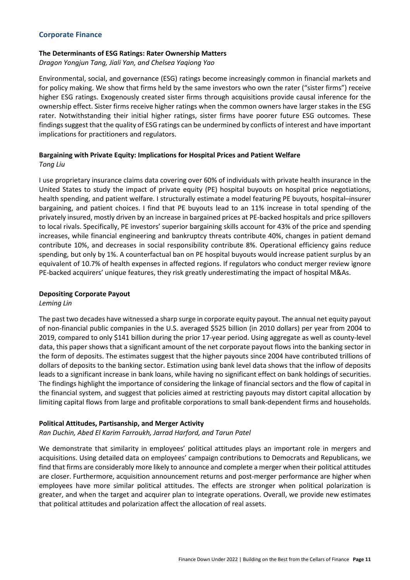#### **Corporate Finance**

#### **The Determinants of ESG Ratings: Rater Ownership Matters**

*Dragon Yongjun Tang, Jiali Yan, and Chelsea Yaqiong Yao*

Environmental, social, and governance (ESG) ratings become increasingly common in financial markets and for policy making. We show that firms held by the same investors who own the rater ("sister firms") receive higher ESG ratings. Exogenously created sister firms through acquisitions provide causal inference for the ownership effect. Sister firms receive higher ratings when the common owners have larger stakes in the ESG rater. Notwithstanding their initial higher ratings, sister firms have poorer future ESG outcomes. These findings suggest that the quality of ESG ratings can be undermined by conflicts of interest and have important implications for practitioners and regulators.

#### **Bargaining with Private Equity: Implications for Hospital Prices and Patient Welfare** *Tong Liu*

I use proprietary insurance claims data covering over 60% of individuals with private health insurance in the United States to study the impact of private equity (PE) hospital buyouts on hospital price negotiations, health spending, and patient welfare. I structurally estimate a model featuring PE buyouts, hospital–insurer bargaining, and patient choices. I find that PE buyouts lead to an 11% increase in total spending of the privately insured, mostly driven by an increase in bargained prices at PE-backed hospitals and price spillovers to local rivals. Specifically, PE investors' superior bargaining skills account for 43% of the price and spending increases, while financial engineering and bankruptcy threats contribute 40%, changes in patient demand contribute 10%, and decreases in social responsibility contribute 8%. Operational efficiency gains reduce spending, but only by 1%. A counterfactual ban on PE hospital buyouts would increase patient surplus by an equivalent of 10.7% of health expenses in affected regions. If regulators who conduct merger review ignore PE-backed acquirers' unique features, they risk greatly underestimating the impact of hospital M&As.

#### **Depositing Corporate Payout**

*Leming Lin*

The past two decades have witnessed a sharp surge in corporate equity payout. The annual net equity payout of non-financial public companies in the U.S. averaged \$525 billion (in 2010 dollars) per year from 2004 to 2019, compared to only \$141 billion during the prior 17-year period. Using aggregate as well as county-level data, this paper shows that a significant amount of the net corporate payout flows into the banking sector in the form of deposits. The estimates suggest that the higher payouts since 2004 have contributed trillions of dollars of deposits to the banking sector. Estimation using bank level data shows that the inflow of deposits leads to a significant increase in bank loans, while having no significant effect on bank holdings of securities. The findings highlight the importance of considering the linkage of financial sectors and the flow of capital in the financial system, and suggest that policies aimed at restricting payouts may distort capital allocation by limiting capital flows from large and profitable corporations to small bank-dependent firms and households.

#### **Political Attitudes, Partisanship, and Merger Activity**

#### *Ran Duchin, Abed El Karim Farroukh, Jarrad Harford, and Tarun Patel*

We demonstrate that similarity in employees' political attitudes plays an important role in mergers and acquisitions. Using detailed data on employees' campaign contributions to Democrats and Republicans, we find that firms are considerably more likely to announce and complete a merger when their political attitudes are closer. Furthermore, acquisition announcement returns and post-merger performance are higher when employees have more similar political attitudes. The effects are stronger when political polarization is greater, and when the target and acquirer plan to integrate operations. Overall, we provide new estimates that political attitudes and polarization affect the allocation of real assets.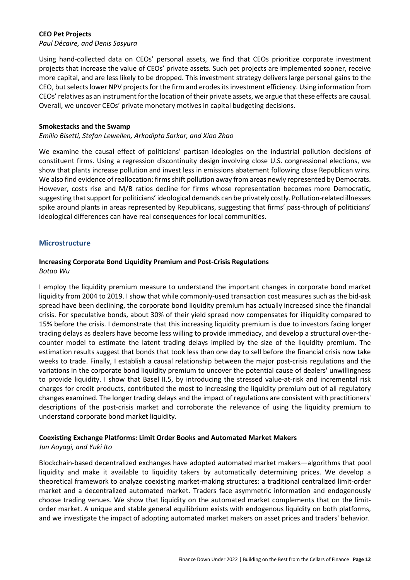#### **CEO Pet Projects**

*Paul Décaire, and Denis Sosyura*

Using hand-collected data on CEOs' personal assets, we find that CEOs prioritize corporate investment projects that increase the value of CEOs' private assets. Such pet projects are implemented sooner, receive more capital, and are less likely to be dropped. This investment strategy delivers large personal gains to the CEO, but selects lower NPV projects for the firm and erodes its investment efficiency. Using information from CEOs' relatives as an instrument for the location of their private assets, we argue that these effects are causal. Overall, we uncover CEOs' private monetary motives in capital budgeting decisions.

#### **Smokestacks and the Swamp**

#### *Emilio Bisetti, Stefan Lewellen, Arkodipta Sarkar, and Xiao Zhao*

We examine the causal effect of politicians' partisan ideologies on the industrial pollution decisions of constituent firms. Using a regression discontinuity design involving close U.S. congressional elections, we show that plants increase pollution and invest less in emissions abatement following close Republican wins. We also find evidence of reallocation: firms shift pollution away from areas newly represented by Democrats. However, costs rise and M/B ratios decline for firms whose representation becomes more Democratic, suggesting that support for politicians' ideological demands can be privately costly. Pollution-related illnesses spike around plants in areas represented by Republicans, suggesting that firms' pass-through of politicians' ideological differences can have real consequences for local communities.

#### **Microstructure**

# **Increasing Corporate Bond Liquidity Premium and Post-Crisis Regulations**

*Botao Wu*

I employ the liquidity premium measure to understand the important changes in corporate bond market liquidity from 2004 to 2019. I show that while commonly-used transaction cost measures such as the bid-ask spread have been declining, the corporate bond liquidity premium has actually increased since the financial crisis. For speculative bonds, about 30% of their yield spread now compensates for illiquidity compared to 15% before the crisis. I demonstrate that this increasing liquidity premium is due to investors facing longer trading delays as dealers have become less willing to provide immediacy, and develop a structural over-thecounter model to estimate the latent trading delays implied by the size of the liquidity premium. The estimation results suggest that bonds that took less than one day to sell before the financial crisis now take weeks to trade. Finally, I establish a causal relationship between the major post-crisis regulations and the variations in the corporate bond liquidity premium to uncover the potential cause of dealers' unwillingness to provide liquidity. I show that Basel II.5, by introducing the stressed value-at-risk and incremental risk charges for credit products, contributed the most to increasing the liquidity premium out of all regulatory changes examined. The longer trading delays and the impact of regulations are consistent with practitioners' descriptions of the post-crisis market and corroborate the relevance of using the liquidity premium to understand corporate bond market liquidity.

#### **Coexisting Exchange Platforms: Limit Order Books and Automated Market Makers**

#### *Jun Aoyagi, and Yuki Ito*

Blockchain-based decentralized exchanges have adopted automated market makers—algorithms that pool liquidity and make it available to liquidity takers by automatically determining prices. We develop a theoretical framework to analyze coexisting market-making structures: a traditional centralized limit-order market and a decentralized automated market. Traders face asymmetric information and endogenously choose trading venues. We show that liquidity on the automated market complements that on the limitorder market. A unique and stable general equilibrium exists with endogenous liquidity on both platforms, and we investigate the impact of adopting automated market makers on asset prices and traders' behavior.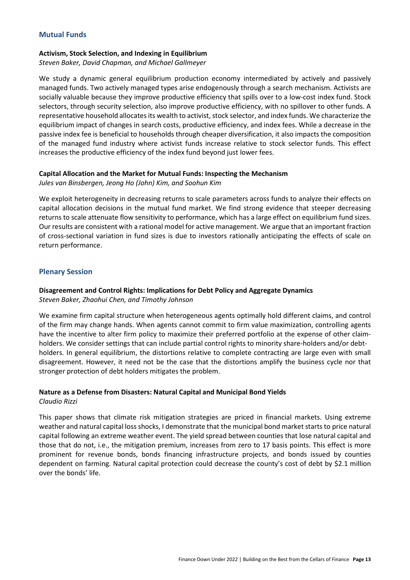#### **Mutual Funds**

#### **Activism, Stock Selection, and Indexing in Equilibrium**

*Steven Baker, David Chapman, and Michael Gallmeyer*

We study a dynamic general equilibrium production economy intermediated by actively and passively managed funds. Two actively managed types arise endogenously through a search mechanism. Activists are socially valuable because they improve productive efficiency that spills over to a low-cost index fund. Stock selectors, through security selection, also improve productive efficiency, with no spillover to other funds. A representative household allocates its wealth to activist, stock selector, and index funds. We characterize the equilibrium impact of changes in search costs, productive efficiency, and index fees. While a decrease in the passive index fee is beneficial to households through cheaper diversification, it also impacts the composition of the managed fund industry where activist funds increase relative to stock selector funds. This effect increases the productive efficiency of the index fund beyond just lower fees.

#### **Capital Allocation and the Market for Mutual Funds: Inspecting the Mechanism**

*Jules van Binsbergen, Jeong Ho (John) Kim, and Soohun Kim*

We exploit heterogeneity in decreasing returns to scale parameters across funds to analyze their effects on capital allocation decisions in the mutual fund market. We find strong evidence that steeper decreasing returns to scale attenuate flow sensitivity to performance, which has a large effect on equilibrium fund sizes. Our results are consistent with a rational model for active management. We argue that an important fraction of cross-sectional variation in fund sizes is due to investors rationally anticipating the effects of scale on return performance.

#### **Plenary Session**

# **Disagreement and Control Rights: Implications for Debt Policy and Aggregate Dynamics**

*Steven Baker, Zhaohui Chen, and Timothy Johnson*

We examine firm capital structure when heterogeneous agents optimally hold different claims, and control of the firm may change hands. When agents cannot commit to firm value maximization, controlling agents have the incentive to alter firm policy to maximize their preferred portfolio at the expense of other claimholders. We consider settings that can include partial control rights to minority share-holders and/or debtholders. In general equilibrium, the distortions relative to complete contracting are large even with small disagreement. However, it need not be the case that the distortions amplify the business cycle nor that stronger protection of debt holders mitigates the problem.

#### **Nature as a Defense from Disasters: Natural Capital and Municipal Bond Yields**

*Claudio Rizzi*

This paper shows that climate risk mitigation strategies are priced in financial markets. Using extreme weather and natural capital loss shocks, I demonstrate that the municipal bond market starts to price natural capital following an extreme weather event. The yield spread between counties that lose natural capital and those that do not, i.e., the mitigation premium, increases from zero to 17 basis points. This effect is more prominent for revenue bonds, bonds financing infrastructure projects, and bonds issued by counties dependent on farming. Natural capital protection could decrease the county's cost of debt by \$2.1 million over the bonds' life.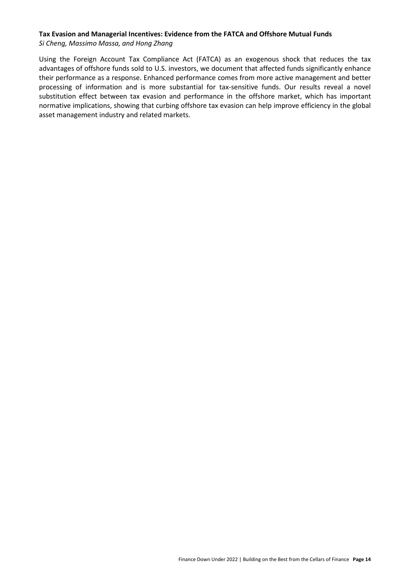#### **Tax Evasion and Managerial Incentives: Evidence from the FATCA and Offshore Mutual Funds** *Si Cheng, Massimo Massa, and Hong Zhang*

Using the Foreign Account Tax Compliance Act (FATCA) as an exogenous shock that reduces the tax advantages of offshore funds sold to U.S. investors, we document that affected funds significantly enhance their performance as a response. Enhanced performance comes from more active management and better processing of information and is more substantial for tax-sensitive funds. Our results reveal a novel substitution effect between tax evasion and performance in the offshore market, which has important normative implications, showing that curbing offshore tax evasion can help improve efficiency in the global asset management industry and related markets.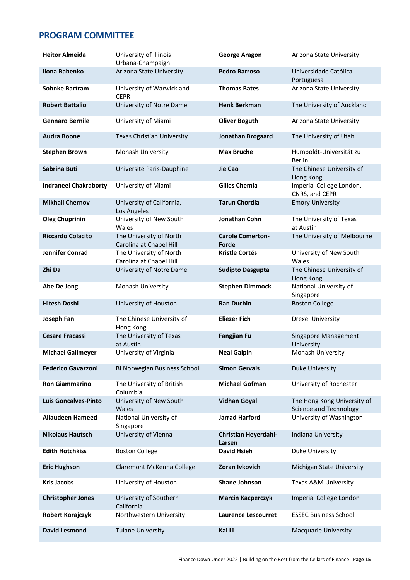# **PROGRAM COMMITTEE**

| <b>Heitor Almeida</b>        | University of Illinois<br>Urbana-Champaign         | <b>George Aragon</b>                  | Arizona State University                                     |
|------------------------------|----------------------------------------------------|---------------------------------------|--------------------------------------------------------------|
| Ilona Babenko                | Arizona State University                           | <b>Pedro Barroso</b>                  | Universidade Católica<br>Portuguesa                          |
| <b>Sohnke Bartram</b>        | University of Warwick and<br><b>CEPR</b>           | <b>Thomas Bates</b>                   | Arizona State University                                     |
| <b>Robert Battalio</b>       | University of Notre Dame                           | <b>Henk Berkman</b>                   | The University of Auckland                                   |
| <b>Gennaro Bernile</b>       | University of Miami                                | <b>Oliver Boguth</b>                  | Arizona State University                                     |
| <b>Audra Boone</b>           | <b>Texas Christian University</b>                  | Jonathan Brogaard                     | The University of Utah                                       |
| <b>Stephen Brown</b>         | Monash University                                  | <b>Max Bruche</b>                     | Humboldt-Universität zu<br><b>Berlin</b>                     |
| Sabrina Buti                 | Université Paris-Dauphine                          | Jie Cao                               | The Chinese University of<br>Hong Kong                       |
| <b>Indraneel Chakraborty</b> | University of Miami                                | <b>Gilles Chemla</b>                  | Imperial College London,<br>CNRS, and CEPR                   |
| <b>Mikhail Chernov</b>       | University of California,<br>Los Angeles           | <b>Tarun Chordia</b>                  | <b>Emory University</b>                                      |
| <b>Oleg Chuprinin</b>        | University of New South<br>Wales                   | Jonathan Cohn                         | The University of Texas<br>at Austin                         |
| <b>Riccardo Colacito</b>     | The University of North<br>Carolina at Chapel Hill | <b>Carole Comerton-</b><br>Forde      | The University of Melbourne                                  |
| <b>Jennifer Conrad</b>       | The University of North<br>Carolina at Chapel Hill | <b>Kristle Cortés</b>                 | University of New South<br>Wales                             |
| Zhi Da                       | University of Notre Dame                           | <b>Sudipto Dasgupta</b>               | The Chinese University of<br>Hong Kong                       |
| Abe De Jong                  | Monash University                                  | <b>Stephen Dimmock</b>                | National University of<br>Singapore                          |
| <b>Hitesh Doshi</b>          | University of Houston                              | <b>Ran Duchin</b>                     | <b>Boston College</b>                                        |
| Joseph Fan                   | The Chinese University of<br>Hong Kong             | <b>Eliezer Fich</b>                   | <b>Drexel University</b>                                     |
| <b>Cesare Fracassi</b>       | The University of Texas<br>at Austin               | <b>Fangjian Fu</b>                    | Singapore Management<br>University                           |
| <b>Michael Gallmeyer</b>     | University of Virginia                             | <b>Neal Galpin</b>                    | Monash University                                            |
| <b>Federico Gavazzoni</b>    | BI Norwegian Business School                       | <b>Simon Gervais</b>                  | Duke University                                              |
| <b>Ron Giammarino</b>        | The University of British<br>Columbia              | <b>Michael Gofman</b>                 | University of Rochester                                      |
| <b>Luis Goncalves-Pinto</b>  | University of New South<br>Wales                   | <b>Vidhan Goyal</b>                   | The Hong Kong University of<br><b>Science and Technology</b> |
| <b>Allaudeen Hameed</b>      | National University of<br>Singapore                | <b>Jarrad Harford</b>                 | University of Washington                                     |
| <b>Nikolaus Hautsch</b>      | University of Vienna                               | <b>Christian Heyerdahl-</b><br>Larsen | Indiana University                                           |
| <b>Edith Hotchkiss</b>       | <b>Boston College</b>                              | <b>David Hsieh</b>                    | <b>Duke University</b>                                       |
| <b>Eric Hughson</b>          | Claremont McKenna College                          | Zoran Ivkovich                        | Michigan State University                                    |
| <b>Kris Jacobs</b>           | University of Houston                              | Shane Johnson                         | Texas A&M University                                         |
| <b>Christopher Jones</b>     | University of Southern<br>California               | <b>Marcin Kacperczyk</b>              | Imperial College London                                      |
| <b>Robert Korajczyk</b>      | Northwestern University                            | <b>Laurence Lescourret</b>            | <b>ESSEC Business School</b>                                 |
| <b>David Lesmond</b>         | <b>Tulane University</b>                           | Kai Li                                | Macquarie University                                         |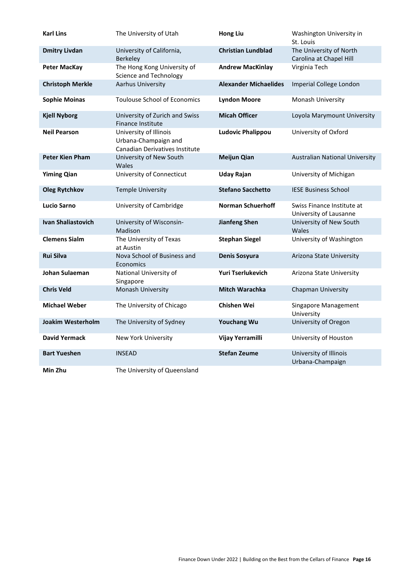| <b>Karl Lins</b>          | The University of Utah                                                                  | <b>Hong Liu</b>              | Washington University in<br>St. Louis                |
|---------------------------|-----------------------------------------------------------------------------------------|------------------------------|------------------------------------------------------|
| <b>Dmitry Livdan</b>      | University of California,<br><b>Berkeley</b>                                            | <b>Christian Lundblad</b>    | The University of North<br>Carolina at Chapel Hill   |
| <b>Peter MacKay</b>       | The Hong Kong University of<br><b>Science and Technology</b>                            | <b>Andrew MacKinlay</b>      | Virginia Tech                                        |
| <b>Christoph Merkle</b>   | Aarhus University                                                                       | <b>Alexander Michaelides</b> | Imperial College London                              |
| <b>Sophie Moinas</b>      | <b>Toulouse School of Economics</b>                                                     | <b>Lyndon Moore</b>          | Monash University                                    |
| <b>Kjell Nyborg</b>       | University of Zurich and Swiss<br>Finance Institute                                     | <b>Micah Officer</b>         | Loyola Marymount University                          |
| <b>Neil Pearson</b>       | University of Illinois<br>Urbana-Champaign and<br><b>Canadian Derivatives Institute</b> | <b>Ludovic Phalippou</b>     | University of Oxford                                 |
| <b>Peter Kien Pham</b>    | University of New South<br>Wales                                                        | <b>Meijun Qian</b>           | <b>Australian National University</b>                |
| <b>Yiming Qian</b>        | University of Connecticut                                                               | <b>Uday Rajan</b>            | University of Michigan                               |
| <b>Oleg Rytchkov</b>      | <b>Temple University</b>                                                                | <b>Stefano Sacchetto</b>     | <b>IESE Business School</b>                          |
| <b>Lucio Sarno</b>        | University of Cambridge                                                                 | <b>Norman Schuerhoff</b>     | Swiss Finance Institute at<br>University of Lausanne |
| <b>Ivan Shaliastovich</b> | University of Wisconsin-<br>Madison                                                     | <b>Jianfeng Shen</b>         | University of New South<br>Wales                     |
| <b>Clemens Sialm</b>      | The University of Texas<br>at Austin                                                    | <b>Stephan Siegel</b>        | University of Washington                             |
| <b>Rui Silva</b>          | Nova School of Business and<br>Economics                                                | Denis Sosyura                | Arizona State University                             |
| <b>Johan Sulaeman</b>     | National University of<br>Singapore                                                     | <b>Yuri Tserlukevich</b>     | Arizona State University                             |
| <b>Chris Veld</b>         | Monash University                                                                       | <b>Mitch Warachka</b>        | Chapman University                                   |
| <b>Michael Weber</b>      | The University of Chicago                                                               | <b>Chishen Wei</b>           | Singapore Management<br>University                   |
| Joakim Westerholm         | The University of Sydney                                                                | <b>Youchang Wu</b>           | University of Oregon                                 |
| <b>David Yermack</b>      | New York University                                                                     | Vijay Yerramilli             | University of Houston                                |
| <b>Bart Yueshen</b>       | <b>INSEAD</b>                                                                           | <b>Stefan Zeume</b>          | University of Illinois<br>Urbana-Champaign           |
| Min Zhu                   | The University of Queensland                                                            |                              |                                                      |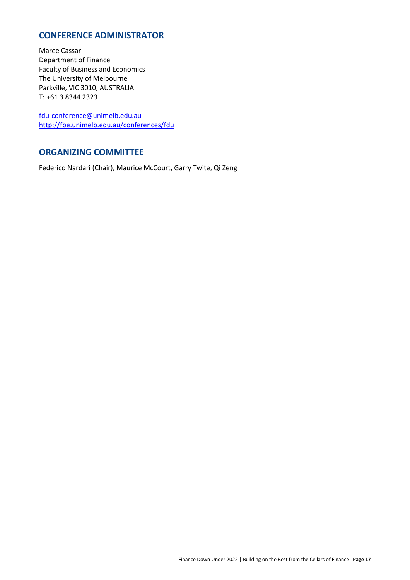# **CONFERENCE ADMINISTRATOR**

Maree Cassar Department of Finance Faculty of Business and Economics The University of Melbourne Parkville, VIC 3010, AUSTRALIA T: +61 3 8344 2323

[fdu-conference@unimelb.edu.au](mailto:fdu-conference@unimelb.edu.au) <http://fbe.unimelb.edu.au/conferences/fdu>

# **ORGANIZING COMMITTEE**

Federico Nardari (Chair), Maurice McCourt, Garry Twite, Qi Zeng